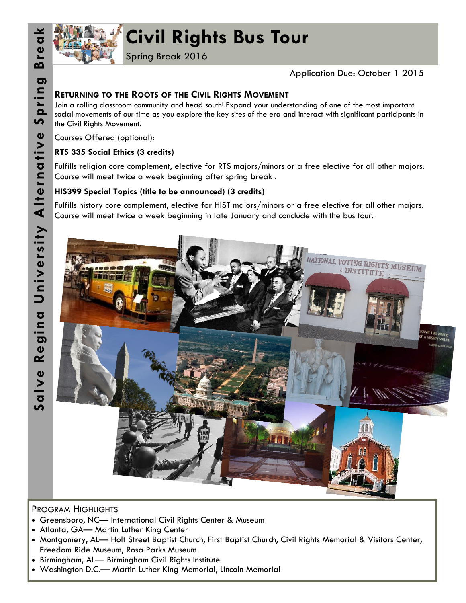

# **Civil Rights Bus Tour**

Spring Break 2016

## Application Due: October 1 2015

# **RETURNING TO THE ROOTS OF THE CIVIL RIGHTS MOVEMENT**

Join a rolling classroom community and head south! Expand your understanding of one of the most important social movements of our time as you explore the key sites of the era and interact with significant participants in the Civil Rights Movement.

Courses Offered (optional):

## **RTS 335 Social Ethics (3 credits)**

Fulfills religion core complement, elective for RTS majors/minors or a free elective for all other majors. Course will meet twice a week beginning after spring break .

## **HIS399 Special Topics (title to be announced) (3 credits)**

Fulfills history core complement, elective for HIST majors/minors or a free elective for all other majors. Course will meet twice a week beginning in late January and conclude with the bus tour.



#### PROGRAM HIGHLIGHTS

- Greensboro, NC— International Civil Rights Center & Museum
- Atlanta, GA— Martin Luther King Center
- Montgomery, AL— Holt Street Baptist Church, First Baptist Church, Civil Rights Memorial & Visitors Center, Freedom Ride Museum, Rosa Parks Museum
- Birmingham, AL— Birmingham Civil Rights Institute
- Washington D.C.— Martin Luther King Memorial, Lincoln Memorial